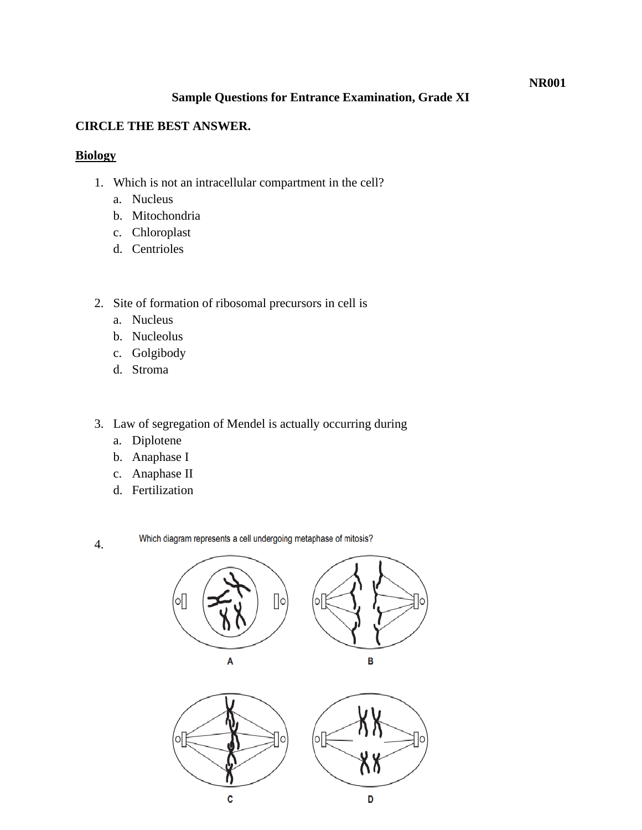#### **NR001**

### **Sample Questions for Entrance Examination, Grade XI**

#### **CIRCLE THE BEST ANSWER.**

### **Biology**

- 1. Which is not an intracellular compartment in the cell?
	- a. Nucleus
	- b. Mitochondria
	- c. Chloroplast
	- d. Centrioles
- 2. Site of formation of ribosomal precursors in cell is
	- a. Nucleus
	- b. Nucleolus
	- c. Golgibody
	- d. Stroma
- 3. Law of segregation of Mendel is actually occurring during
	- a. Diplotene
	- b. Anaphase I
	- c. Anaphase II
	- d. Fertilization

4.

Which diagram represents a cell undergoing metaphase of mitosis?

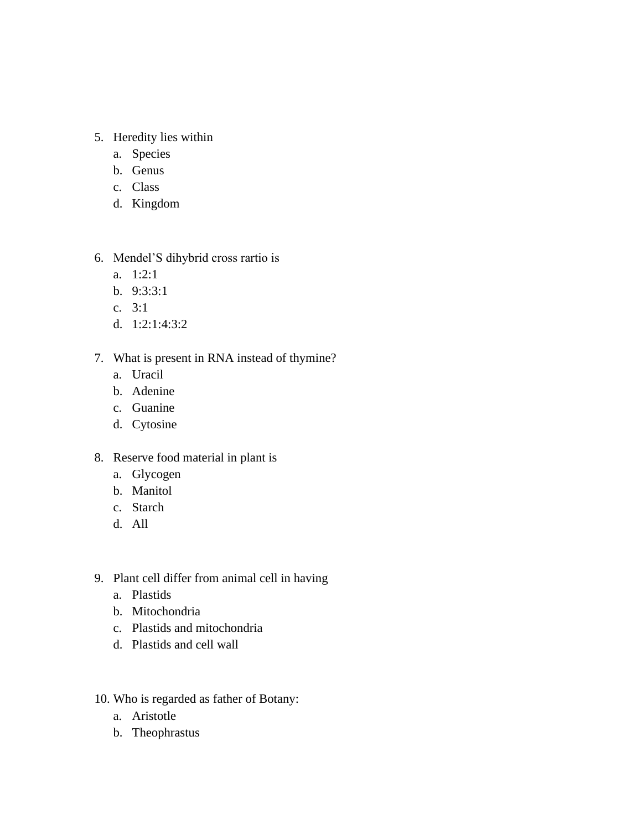# 5. Heredity lies within

- a. Species
- b. Genus
- c. Class
- d. Kingdom
- 6. Mendel'S dihybrid cross rartio is
	- a. 1:2:1
	- b. 9:3:3:1
	- c. 3:1
	- d. 1:2:1:4:3:2

## 7. What is present in RNA instead of thymine?

- a. Uracil
- b. Adenine
- c. Guanine
- d. Cytosine
- 8. Reserve food material in plant is
	- a. Glycogen
	- b. Manitol
	- c. Starch
	- d. All
- 9. Plant cell differ from animal cell in having
	- a. Plastids
	- b. Mitochondria
	- c. Plastids and mitochondria
	- d. Plastids and cell wall
- 10. Who is regarded as father of Botany:
	- a. Aristotle
	- b. Theophrastus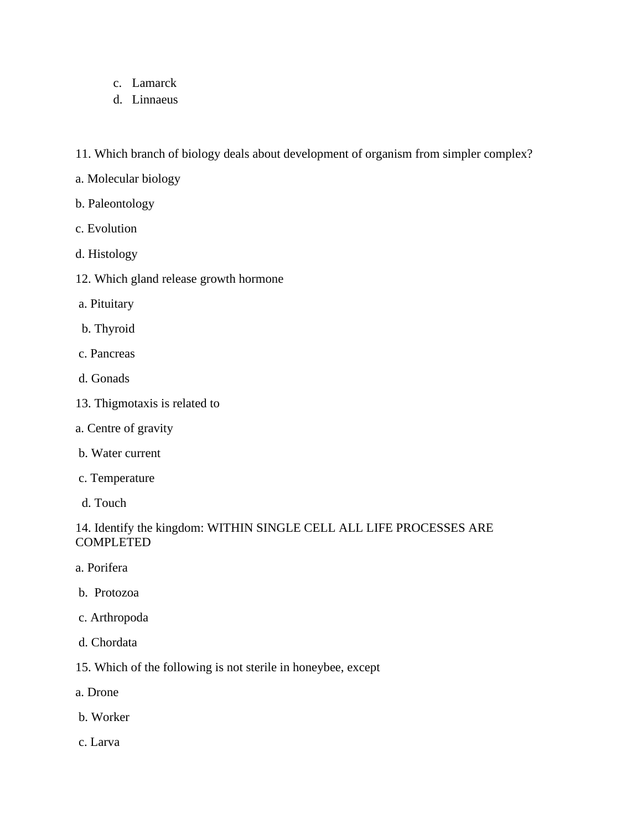- c. Lamarck
- d. Linnaeus
- 11. Which branch of biology deals about development of organism from simpler complex?
- a. Molecular biology
- b. Paleontology
- c. Evolution
- d. Histology
- 12. Which gland release growth hormone
- a. Pituitary
- b. Thyroid
- c. Pancreas
- d. Gonads
- 13. Thigmotaxis is related to
- a. Centre of gravity
- b. Water current
- c. Temperature
- d. Touch

## 14. Identify the kingdom: WITHIN SINGLE CELL ALL LIFE PROCESSES ARE COMPLETED

- a. Porifera
- b. Protozoa
- c. Arthropoda
- d. Chordata
- 15. Which of the following is not sterile in honeybee, except
- a. Drone
- b. Worker
- c. Larva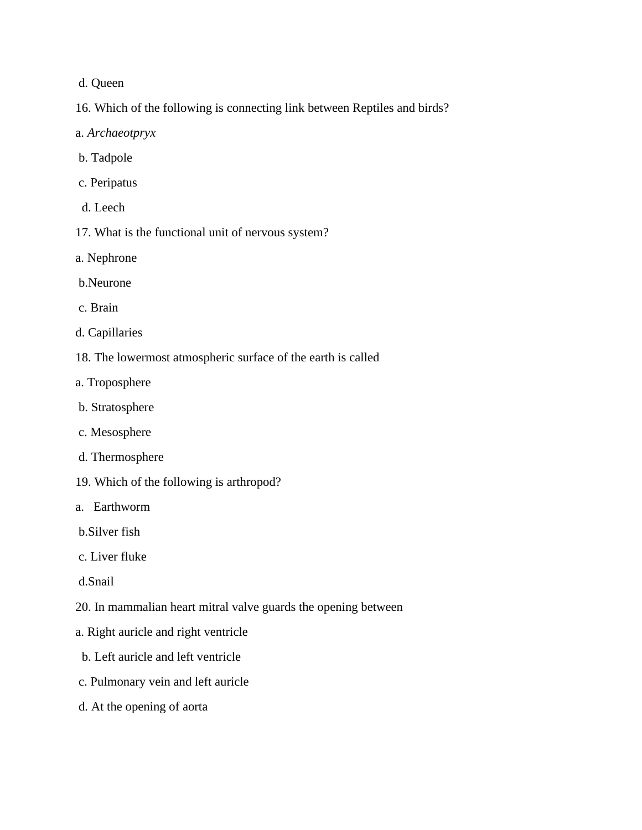#### d. Queen

- 16. Which of the following is connecting link between Reptiles and birds?
- a. *Archaeotpryx*
- b. Tadpole
- c. Peripatus
- d. Leech
- 17. What is the functional unit of nervous system?
- a. Nephrone
- b.Neurone
- c. Brain
- d. Capillaries
- 18. The lowermost atmospheric surface of the earth is called
- a. Troposphere
- b. Stratosphere
- c. Mesosphere
- d. Thermosphere
- 19. Which of the following is arthropod?
- a. Earthworm
- b.Silver fish
- c. Liver fluke
- d.Snail
- 20. In mammalian heart mitral valve guards the opening between
- a. Right auricle and right ventricle
- b. Left auricle and left ventricle
- c. Pulmonary vein and left auricle
- d. At the opening of aorta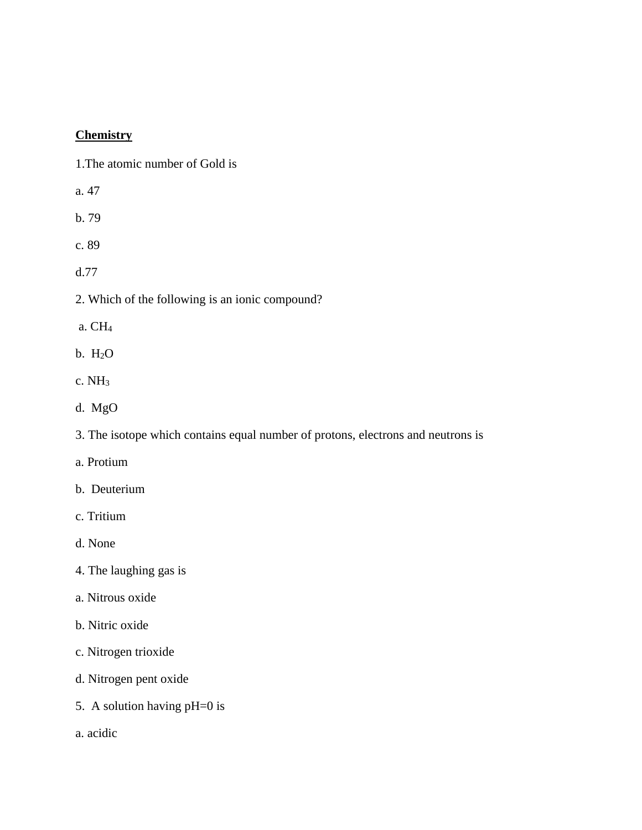# **Chemistry**

1.The atomic number of Gold is

- a. 47
- b. 79

c. 89

d.77

- 2. Which of the following is an ionic compound?
- a. CH<sup>4</sup>
- b. H2O
- c. NH<sup>3</sup>
- d. MgO

3. The isotope which contains equal number of protons, electrons and neutrons is

- a. Protium
- b. Deuterium
- c. Tritium
- d. None
- 4. The laughing gas is
- a. Nitrous oxide
- b. Nitric oxide
- c. Nitrogen trioxide
- d. Nitrogen pent oxide
- 5. A solution having pH=0 is
- a. acidic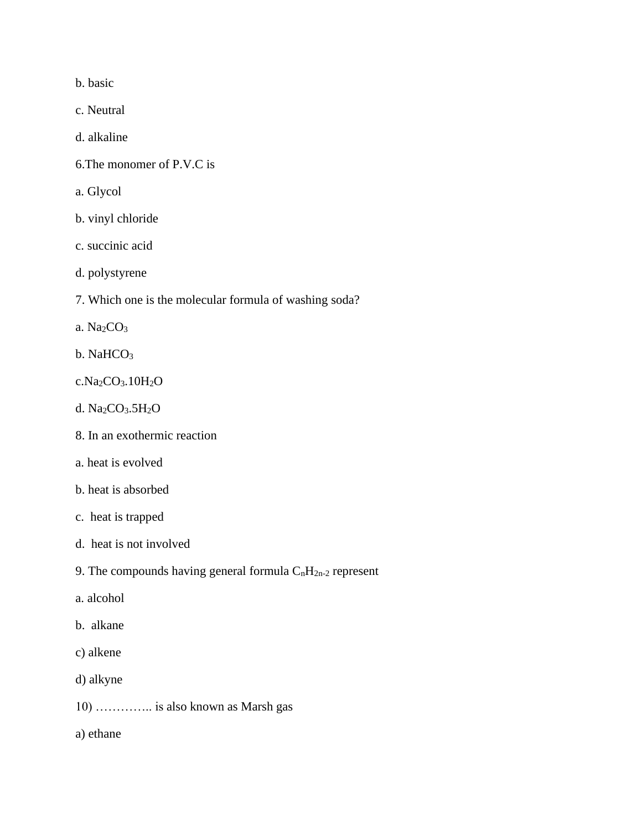b. basic

c. Neutral

d. alkaline

- 6.The monomer of P.V.C is
- a. Glycol
- b. vinyl chloride
- c. succinic acid
- d. polystyrene
- 7. Which one is the molecular formula of washing soda?
- a. Na2CO<sup>3</sup>
- b. NaHCO<sub>3</sub>
- c.Na2CO3.10H2O
- d. Na2CO3.5H2O
- 8. In an exothermic reaction
- a. heat is evolved
- b. heat is absorbed
- c. heat is trapped
- d. heat is not involved
- 9. The compounds having general formula  $C_nH_{2n-2}$  represent
- a. alcohol
- b. alkane
- c) alkene
- d) alkyne
- 10) ………….. is also known as Marsh gas
- a) ethane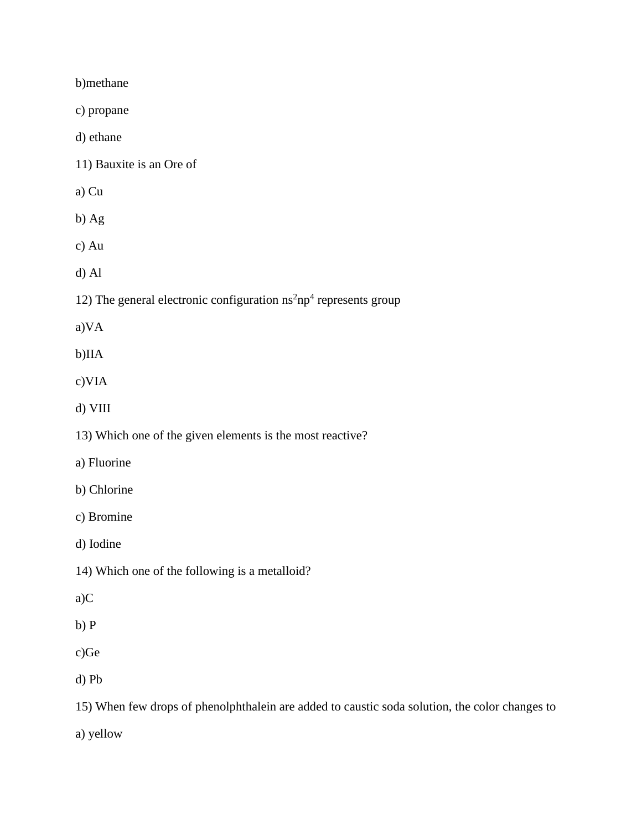b)methane

c) propane

d) ethane

11) Bauxite is an Ore of

a) Cu

b) Ag

c) Au

d) Al

12) The general electronic configuration  $n s<sup>2</sup> n p<sup>4</sup>$  represents group

a)VA

b)IIA

c)VIA

d) VIII

13) Which one of the given elements is the most reactive?

a) Fluorine

b) Chlorine

c) Bromine

d) Iodine

14) Which one of the following is a metalloid?

a)C

b) P

c)Ge

d) Pb

15) When few drops of phenolphthalein are added to caustic soda solution, the color changes to

a) yellow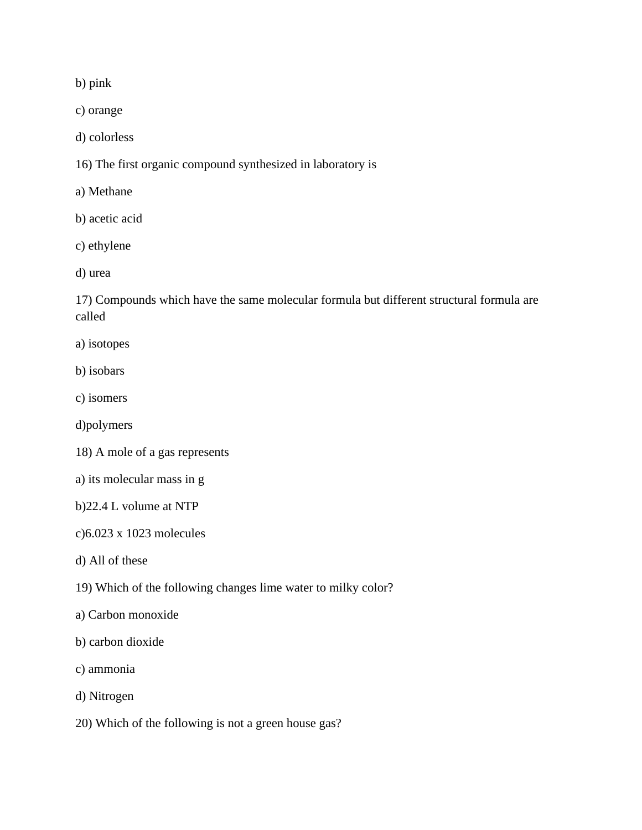b) pink

c) orange

d) colorless

16) The first organic compound synthesized in laboratory is

a) Methane

b) acetic acid

c) ethylene

d) urea

17) Compounds which have the same molecular formula but different structural formula are called

a) isotopes

b) isobars

c) isomers

d)polymers

18) A mole of a gas represents

a) its molecular mass in g

b)22.4 L volume at NTP

c)6.023 x 1023 molecules

d) All of these

19) Which of the following changes lime water to milky color?

a) Carbon monoxide

b) carbon dioxide

c) ammonia

d) Nitrogen

20) Which of the following is not a green house gas?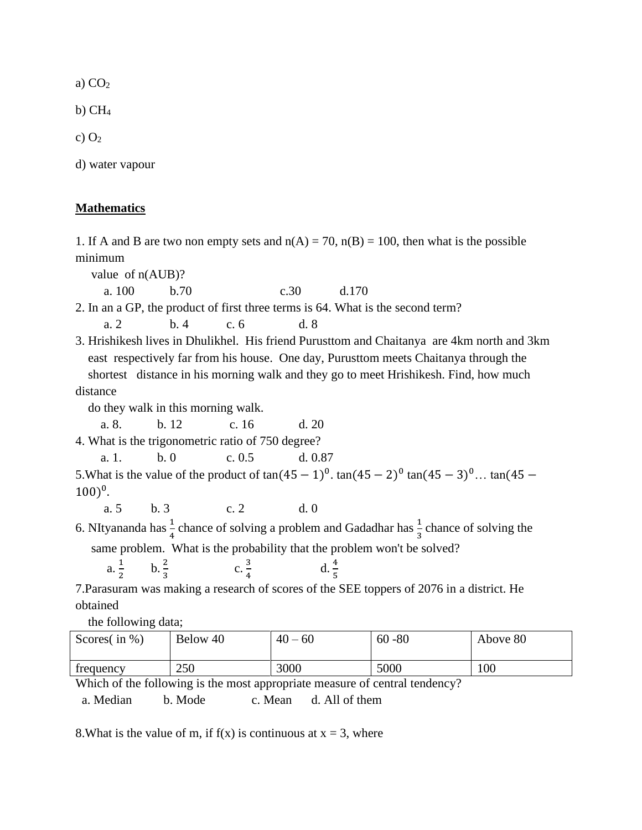a)  $CO<sub>2</sub>$ 

 $b)$  CH<sub>4</sub>

c)  $O<sub>2</sub>$ 

d) water vapour

#### **Mathematics**

1. If A and B are two non empty sets and  $n(A) = 70$ ,  $n(B) = 100$ , then what is the possible minimum

value of n(AUB)?

a. 100 b.70 c.30 d.170

2. In an a GP, the product of first three terms is 64. What is the second term?

a. 2 b. 4 c. 6 d. 8

3. Hrishikesh lives in Dhulikhel. His friend Purusttom and Chaitanya are 4km north and 3km east respectively far from his house. One day, Purusttom meets Chaitanya through the shortest distance in his morning walk and they go to meet Hrishikesh. Find, how much distance

do they walk in this morning walk.

a. 8. b. 12 c. 16 d. 20

4. What is the trigonometric ratio of 750 degree?

a. 1. b. 0 c. 0.5 d. 0.87

5. What is the value of the product of  $tan(45 - 1)^0$ .  $tan(45 - 2)^0 tan(45 - 3)^0$ ...  $tan(45 - 1)^0$  $(100)^0$ .

a. 5 b. 3 c. 2 d. 0

6. NItyananda has  $\frac{1}{4}$  chance of solving a problem and Gadadhar has  $\frac{1}{3}$  chance of solving the same problem. What is the probability that the problem won't be solved?

a.  $\frac{1}{2}$ 2  $b. \frac{2}{3}$ c.  $\frac{3}{4}$ 4 d.  $\frac{4}{5}$ 

7.Parasuram was making a research of scores of the SEE toppers of 2076 in a district. He obtained

the following data;

| Scores $($ in $\% )$ | Below 40 | 40<br>$-60$ | 60<br>$-80$ | Above 80 |
|----------------------|----------|-------------|-------------|----------|
| trequency            | 250      | 3000        | 5000        | 100      |

Which of the following is the most appropriate measure of central tendency?

a. Median b. Mode c. Mean d. All of them

8. What is the value of m, if  $f(x)$  is continuous at  $x = 3$ , where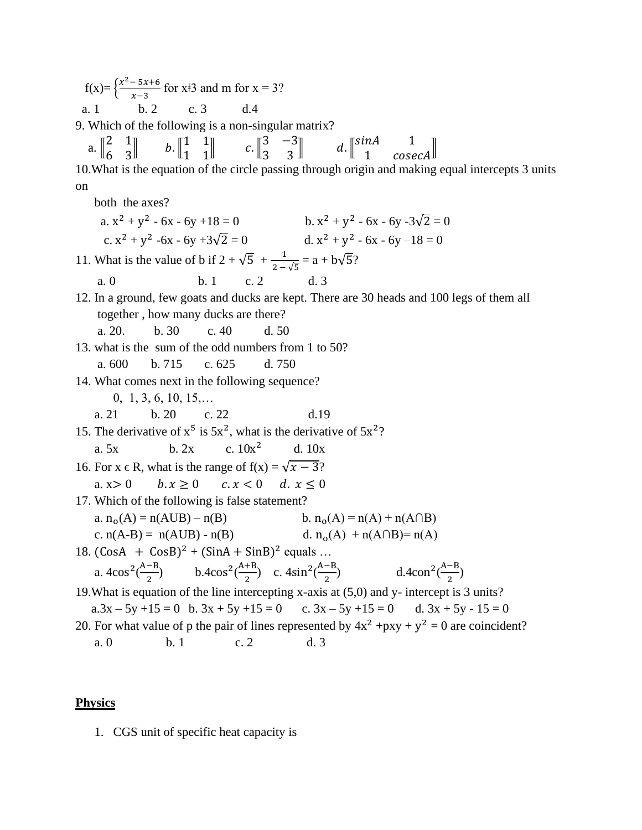$f(x) = \frac{x^2 - 5x + 6}{x - 3}$  $\frac{-3x+6}{x-3}$  for x<sup>‡</sup>3 and m for x = 3? a. 1 b. 2 c. 3 d.4

9. Which of the following is a non-singular matrix?

|  |  |  | a. $\begin{bmatrix} 2 & 1 \\ 6 & 3 \end{bmatrix}$ b. $\begin{bmatrix} 1 & 1 \\ 1 & 1 \end{bmatrix}$ c. $\begin{bmatrix} 3 & -3 \\ 3 & 3 \end{bmatrix}$ d. $\begin{bmatrix} \sin A & 1 \\ 1 & \csc A \end{bmatrix}$ |                                                                                                   |  |
|--|--|--|--------------------------------------------------------------------------------------------------------------------------------------------------------------------------------------------------------------------|---------------------------------------------------------------------------------------------------|--|
|  |  |  |                                                                                                                                                                                                                    | 10. What is the equation of the circle passing through origin and making equal intercepts 3 units |  |

on

both the axes?

| a. $x^2 + y^2 - 6x - 6y + 18 = 0$                                                       |            |                | b. $x^2 + y^2 - 6x - 6y - 3\sqrt{2} = 0$                                                   |
|-----------------------------------------------------------------------------------------|------------|----------------|--------------------------------------------------------------------------------------------|
| c. $x^2 + y^2 -6x - 6y +3\sqrt{2} = 0$                                                  |            |                | d. $x^2 + y^2 - 6x - 6y - 18 = 0$                                                          |
| 11. What is the value of b if $2 + \sqrt{5} + \frac{1}{2 - \sqrt{5}} = a + b\sqrt{5}$ ? |            |                |                                                                                            |
| a. 0                                                                                    | $b.1$ c. 2 | d <sub>3</sub> |                                                                                            |
|                                                                                         |            |                | 12. In a ground, few goats and ducks are kept. There are 30 heads and 100 legs of them all |
| together, how many ducks are there?                                                     |            |                |                                                                                            |

a. 20. b. 30 c. 40 d. 50

13. what is the sum of the odd numbers from 1 to 50? a. 600 b. 715 c. 625 d. 750

14. What comes next in the following sequence?

- 0, 1, 3, 6, 10, 15,…
- a. 21 b. 20 c. 22 d.19
- 15. The derivative of  $x^5$  is  $5x^2$ , what is the derivative of  $5x^2$ ?

a. 5x b. 2x c. 
$$
10x^2
$$
 d. 10x

- 16. For  $x \in R$ , what is the range of  $f(x) = \sqrt{x 3}$ ?
- a.  $x > 0$   $b. x \ge 0$   $c. x < 0$   $d. x \le 0$
- 17. Which of the following is false statement?

a. 
$$
n_o(A) = n(AUB) - n(B)
$$
  
b.  $n_o(A) = n(A) + n(A \cap B)$ 

c. 
$$
n(A-B) = n(AUB) - n(B)
$$
 d.  $n_0(A) + n(A \cap B) = n(A)$ 

18.  $(CosA + CosB)^2 + (SinA + SinB)^2$  equals ...

a. 
$$
4\cos^2(\frac{A-B}{2})
$$
 b.  $4\cos^2(\frac{A+B}{2})$  c.  $4\sin^2(\frac{A-B}{2})$  d.  $4\cos^2(\frac{A-B}{2})$ 

19.What is equation of the line intercepting x-axis at (5,0) and y- intercept is 3 units?  $a.3x - 5y +15 = 0$  b.  $3x + 5y +15 = 0$  c.  $3x - 5y +15 = 0$  d.  $3x + 5y - 15 = 0$ 20. For what value of p the pair of lines represented by  $4x^2 + pxy + y^2 = 0$  are coincident?

a. 0 b. 1 c. 2 d. 3

#### **Physics**

1. CGS unit of specific heat capacity is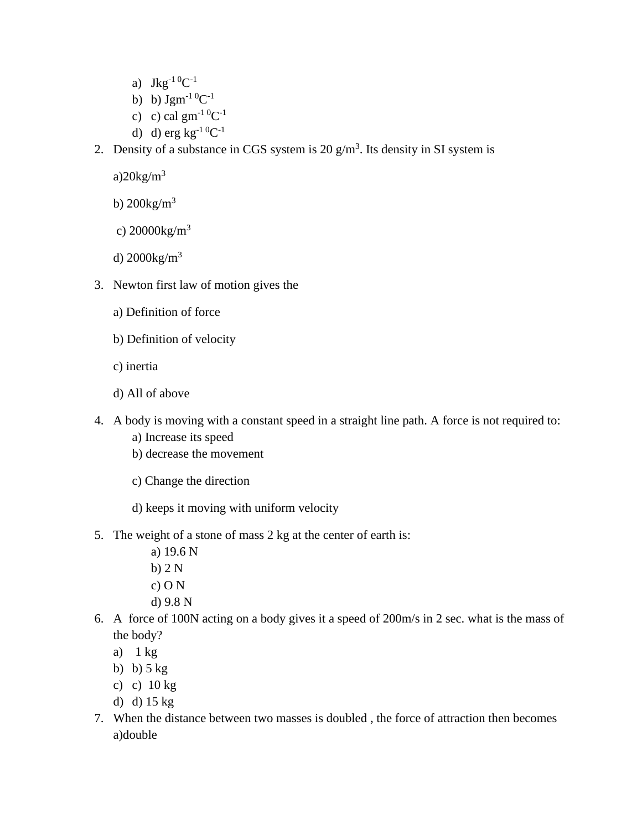- a)  $Jkg^{-1} {}^{0}C^{-1}$
- b)  $\text{Jgm}^{-1} \, {}^{0}C^{-1}$
- c) c) cal  $\text{gm}^{-1} {}^{0}C^{-1}$
- d) d) erg  $kg^{-1} {}^{0}C^{-1}$
- 2. Density of a substance in CGS system is 20  $g/m<sup>3</sup>$ . Its density in SI system is

a) $20\text{kg/m}^3$ 

- b)  $200\text{kg/m}^3$
- c)  $20000kg/m^3$
- d) 2000kg/m<sup>3</sup>
- 3. Newton first law of motion gives the
	- a) Definition of force
	- b) Definition of velocity
	- c) inertia
	- d) All of above
- 4. A body is moving with a constant speed in a straight line path. A force is not required to:
	- a) Increase its speed
	- b) decrease the movement
	- c) Change the direction
	- d) keeps it moving with uniform velocity
- 5. The weight of a stone of mass 2 kg at the center of earth is:
	- a) 19.6 N
	- b) 2 N
	- c) O N
	- d) 9.8 N
- 6. A force of 100N acting on a body gives it a speed of 200m/s in 2 sec. what is the mass of the body?
	- a)  $1 \text{ kg}$
	- b) b)  $5$  kg
	- c) c) 10 kg
	- d) d) 15 kg
- 7. When the distance between two masses is doubled , the force of attraction then becomes a)double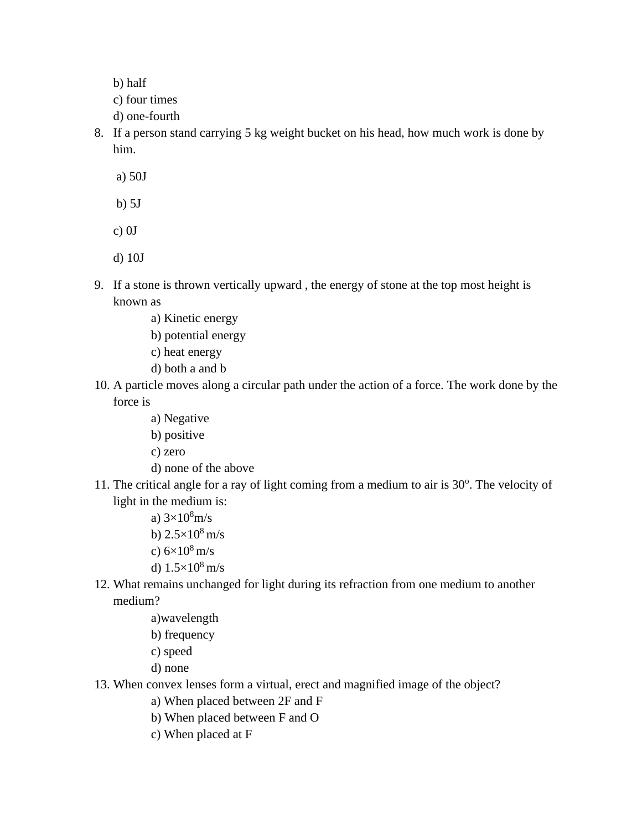b) half

- c) four times
- d) one-fourth
- 8. If a person stand carrying 5 kg weight bucket on his head, how much work is done by him.
	- a) 50J
	- b) 5J
	- c) 0J
	- d) 10J
- 9. If a stone is thrown vertically upward , the energy of stone at the top most height is known as
	- a) Kinetic energy
	- b) potential energy
	- c) heat energy
	- d) both a and b
- 10. A particle moves along a circular path under the action of a force. The work done by the force is
	- a) Negative
	- b) positive
	- c) zero
	- d) none of the above
- 11. The critical angle for a ray of light coming from a medium to air is 30°. The velocity of light in the medium is:
	- a)  $3 \times 10^8$  m/s
	- b)  $2.5 \times 10^8$  m/s
	- c)  $6\times10^8$  m/s
	- d)  $1.5 \times 10^8$  m/s
- 12. What remains unchanged for light during its refraction from one medium to another medium?
	- a)wavelength
	- b) frequency
	- c) speed
	- d) none
- 13. When convex lenses form a virtual, erect and magnified image of the object?
	- a) When placed between 2F and F
	- b) When placed between F and O
	- c) When placed at F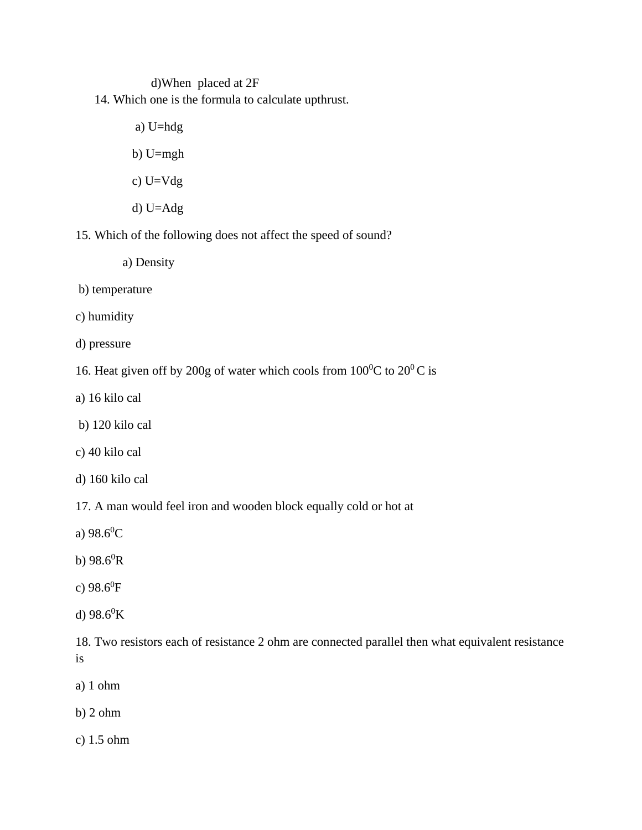d)When placed at 2F

14. Which one is the formula to calculate upthrust.

a) U=hdg

- b) U=mgh
- c) U=Vdg
- d) U=Adg

15. Which of the following does not affect the speed of sound?

- a) Density
- b) temperature
- c) humidity
- d) pressure
- 16. Heat given off by 200g of water which cools from  $100^0C$  to  $20^0C$  is
- a) 16 kilo cal
- b) 120 kilo cal
- c) 40 kilo cal
- d) 160 kilo cal

17. A man would feel iron and wooden block equally cold or hot at

- a)  $98.6^{\circ}$ C
- b)  $98.6^0R$
- c)  $98.6^0$ F
- d)  $98.6^0$ K

18. Two resistors each of resistance 2 ohm are connected parallel then what equivalent resistance is

- a) 1 ohm
- b) 2 ohm
- c) 1.5 ohm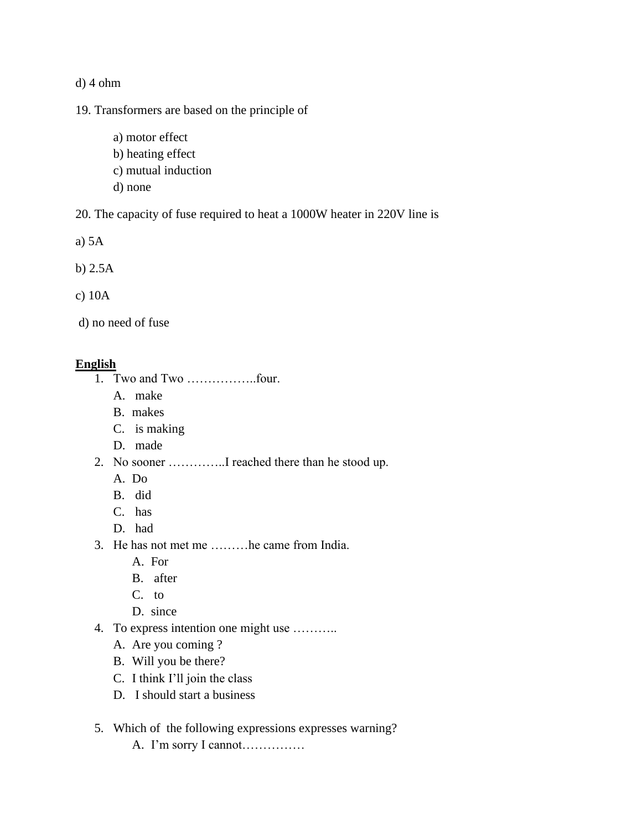d) 4 ohm

19. Transformers are based on the principle of

- a) motor effect
- b) heating effect
- c) mutual induction
- d) none

20. The capacity of fuse required to heat a 1000W heater in 220V line is

a) 5A

b) 2.5A

c) 10A

d) no need of fuse

## **English**

- 1. Two and Two ……………..four.
	- A. make
	- B. makes
	- C. is making
	- D. made
- 2. No sooner …………..I reached there than he stood up.
	- A. Do
	- B. did
	- C. has
	- D. had
- 3. He has not met me ………he came from India.
	- A. For
	- B. after
	- C. to
	- D. since
- 4. To express intention one might use ………..
	- A. Are you coming ?
	- B. Will you be there?
	- C. I think I'll join the class
	- D. I should start a business
- 5. Which of the following expressions expresses warning?
	- A. I'm sorry I cannot……………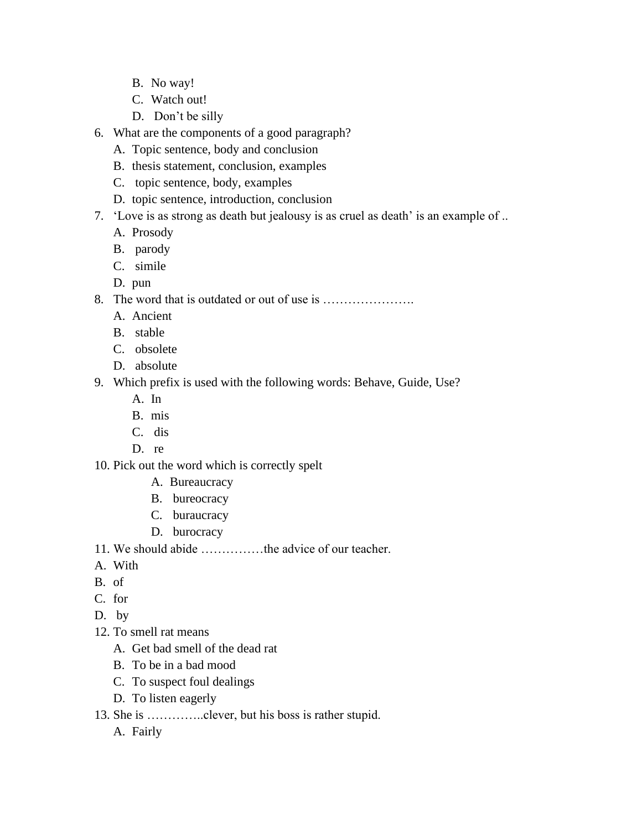- B. No way!
- C. Watch out!
- D. Don't be silly
- 6. What are the components of a good paragraph?
	- A. Topic sentence, body and conclusion
	- B. thesis statement, conclusion, examples
	- C. topic sentence, body, examples
	- D. topic sentence, introduction, conclusion
- 7. 'Love is as strong as death but jealousy is as cruel as death' is an example of ..
	- A. Prosody
	- B. parody
	- C. simile
	- D. pun
- 8. The word that is outdated or out of use is ………………….
	- A. Ancient
	- B. stable
	- C. obsolete
	- D. absolute
- 9. Which prefix is used with the following words: Behave, Guide, Use?
	- A. In
	- B. mis
	- C. dis
	- D. re
- 10. Pick out the word which is correctly spelt
	- A. Bureaucracy
	- B. bureocracy
	- C. buraucracy
	- D. burocracy
- 11. We should abide ……………the advice of our teacher.
- A. With
- B. of
- C. for
- D. by
- 12. To smell rat means
	- A. Get bad smell of the dead rat
	- B. To be in a bad mood
	- C. To suspect foul dealings
	- D. To listen eagerly
- 13. She is …………..clever, but his boss is rather stupid.
	- A. Fairly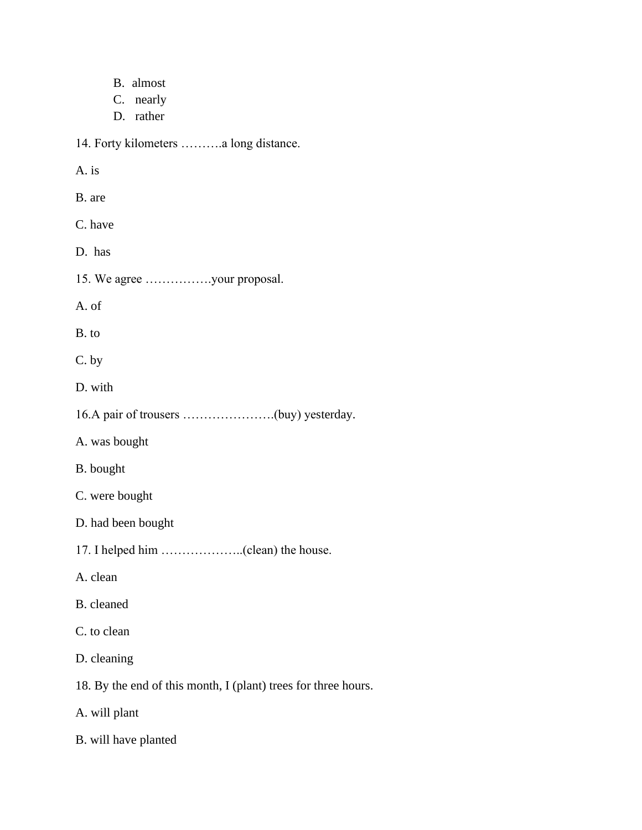| B. almost                                                      |
|----------------------------------------------------------------|
| C. nearly<br>D. rather                                         |
| 14. Forty kilometers a long distance.                          |
| A. is                                                          |
| B. are                                                         |
| C. have                                                        |
| D. has                                                         |
| 15. We agree your proposal.                                    |
| A. of                                                          |
| B. to                                                          |
| C. by                                                          |
| D. with                                                        |
|                                                                |
| A. was bought                                                  |
| B. bought                                                      |
| C. were bought                                                 |
| D. had been bought                                             |
| 17. I helped him (clean) the house.                            |
| A. clean                                                       |
| B. cleaned                                                     |
| C. to clean                                                    |
| D. cleaning                                                    |
| 18. By the end of this month, I (plant) trees for three hours. |
| A. will plant                                                  |
| B. will have planted                                           |